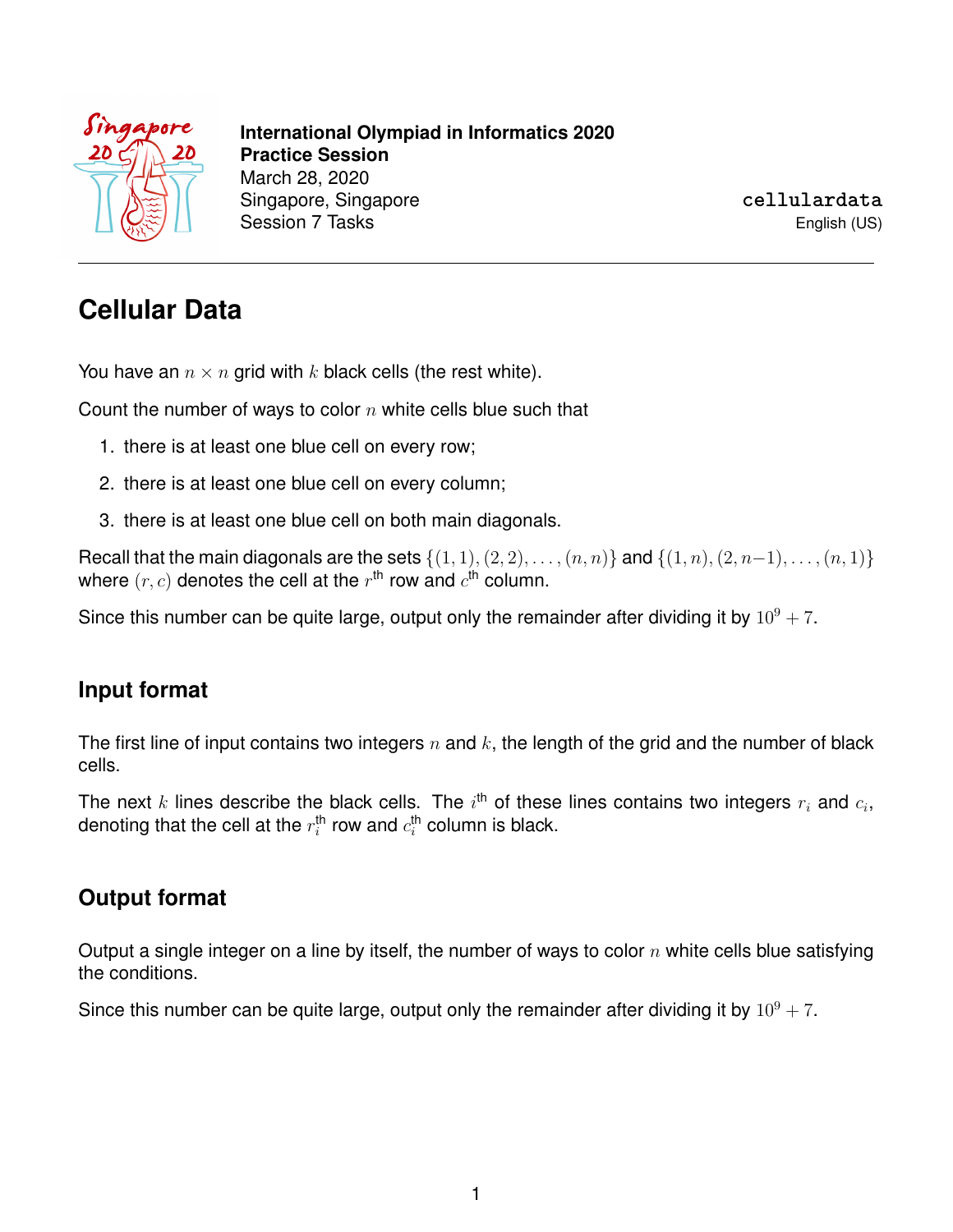

**International Olympiad in Informatics 2020 Practice Session** March 28, 2020 Singapore, Singapore Session 7 Tasks

**cellulardata** English (US)

# **Cellular Data**

You have an  $n \times n$  grid with k black cells (the rest white).

Count the number of ways to color  $n$  white cells blue such that

- 1. there is at least one blue cell on every row;
- 2. there is at least one blue cell on every column;
- 3. there is at least one blue cell on both main diagonals.

Recall that the main diagonals are the sets  $\{(1, 1), (2, 2), \ldots, (n, n)\}$  and  $\{(1, n), (2, n-1), \ldots, (n, 1)\}$ where  $(r, c)$  denotes the cell at the  $r^{\text{th}}$  row and  $c^{\text{th}}$  column.

Since this number can be quite large, output only the remainder after dividing it by  $10^9 + 7$ .

#### **Input format**

The first line of input contains two integers  $n$  and  $k$ , the length of the grid and the number of black cells.

The next  $k$  lines describe the black cells. The  $i^{\text{th}}$  of these lines contains two integers  $r_i$  and  $c_i$ , denoting that the cell at the  $r_i^\mathsf{th}$  row and  $c_i^\mathsf{th}$  column is black.

#### **Output format**

Output a single integer on a line by itself, the number of ways to color  $n$  white cells blue satisfying the conditions.

Since this number can be quite large, output only the remainder after dividing it by  $10^9 + 7$ .